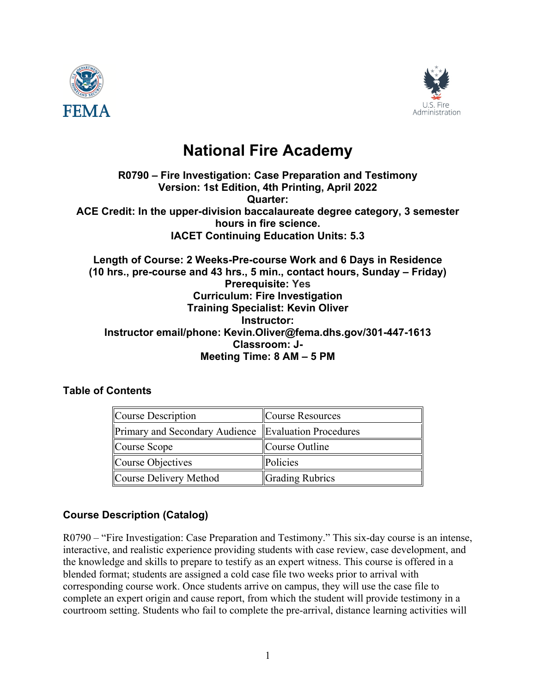



# **National Fire Academy**

#### **R0790 – Fire Investigation: Case Preparation and Testimony Version: 1st Edition, 4th Printing, April 2022 Quarter: ACE Credit: In the upper-division baccalaureate degree category, 3 semester hours in fire science. IACET Continuing Education Units: 5.3**

#### **Length of Course: 2 Weeks-Pre-course Work and 6 Days in Residence (10 hrs., pre-course and 43 hrs., 5 min., contact hours, Sunday – Friday) Prerequisite: Yes Curriculum: Fire Investigation Training Specialist: Kevin Oliver Instructor: Instructor email/phone: Kevin.Oliver@fema.dhs.gov/301-447-1613 Classroom: J-Meeting Time: 8 AM – 5 PM**

## **Table of Contents**

| Course Description                                   | Course Resources       |
|------------------------------------------------------|------------------------|
| Primary and Secondary Audience Evaluation Procedures |                        |
| Course Scope                                         | Course Outline         |
| Course Objectives                                    | Policies               |
| Course Delivery Method                               | <b>Grading Rubrics</b> |

## **Course Description (Catalog)**

R0790 – "Fire Investigation: Case Preparation and Testimony." This six-day course is an intense, interactive, and realistic experience providing students with case review, case development, and the knowledge and skills to prepare to testify as an expert witness. This course is offered in a blended format; students are assigned a cold case file two weeks prior to arrival with corresponding course work. Once students arrive on campus, they will use the case file to complete an expert origin and cause report, from which the student will provide testimony in a courtroom setting. Students who fail to complete the pre-arrival, distance learning activities will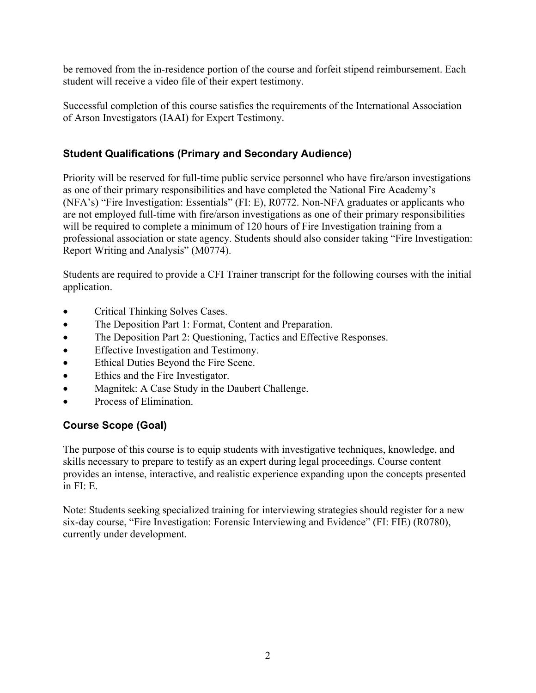be removed from the in-residence portion of the course and forfeit stipend reimbursement. Each student will receive a video file of their expert testimony.

Successful completion of this course satisfies the requirements of the International Association of Arson Investigators (IAAI) for Expert Testimony.

## **Student Qualifications (Primary and Secondary Audience)**

Priority will be reserved for full-time public service personnel who have fire/arson investigations as one of their primary responsibilities and have completed the National Fire Academy's (NFA's) "Fire Investigation: Essentials" (FI: E), R0772. Non-NFA graduates or applicants who are not employed full-time with fire/arson investigations as one of their primary responsibilities will be required to complete a minimum of 120 hours of Fire Investigation training from a professional association or state agency. Students should also consider taking "Fire Investigation: Report Writing and Analysis" (M0774).

Students are required to provide a CFI Trainer transcript for the following courses with the initial application.

- Critical Thinking Solves Cases.
- The Deposition Part 1: Format, Content and Preparation.
- The Deposition Part 2: Questioning, Tactics and Effective Responses.
- Effective Investigation and Testimony.
- Ethical Duties Beyond the Fire Scene.
- Ethics and the Fire Investigator.
- Magnitek: A Case Study in the Daubert Challenge.
- Process of Elimination.

## **Course Scope (Goal)**

The purpose of this course is to equip students with investigative techniques, knowledge, and skills necessary to prepare to testify as an expert during legal proceedings. Course content provides an intense, interactive, and realistic experience expanding upon the concepts presented in FI: E.

Note: Students seeking specialized training for interviewing strategies should register for a new six-day course, "Fire Investigation: Forensic Interviewing and Evidence" (FI: FIE) (R0780), currently under development.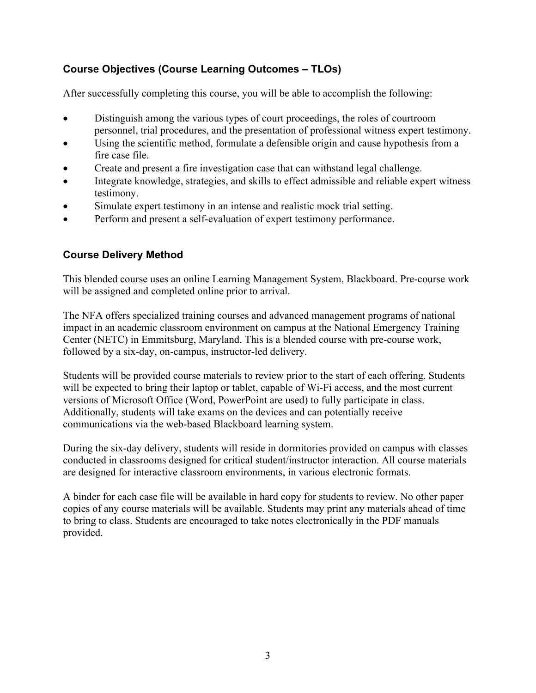# **Course Objectives (Course Learning Outcomes – TLOs)**

After successfully completing this course, you will be able to accomplish the following:

- Distinguish among the various types of court proceedings, the roles of courtroom personnel, trial procedures, and the presentation of professional witness expert testimony.
- Using the scientific method, formulate a defensible origin and cause hypothesis from a fire case file.
- Create and present a fire investigation case that can withstand legal challenge.
- Integrate knowledge, strategies, and skills to effect admissible and reliable expert witness testimony.
- Simulate expert testimony in an intense and realistic mock trial setting.
- Perform and present a self-evaluation of expert testimony performance.

## **Course Delivery Method**

This blended course uses an online Learning Management System, Blackboard. Pre-course work will be assigned and completed online prior to arrival.

The NFA offers specialized training courses and advanced management programs of national impact in an academic classroom environment on campus [at the National Emergency Training](https://apps.usfa.fema.gov/nfacourses/#courses)  Center [\(NETC\) in Emmitsburg, Maryland.](https://apps.usfa.fema.gov/nfacourses/#courses) This is a blended course with pre-course work, followed by a six-day, on-campus, instructor-led delivery.

Students will be provided course materials to review prior to the start of each offering. Students will be expected to bring their laptop or tablet, capable of Wi-Fi access, and the most current versions of Microsoft Office (Word, PowerPoint are used) to fully participate in class. Additionally, students will take exams on the devices and can potentially receive communications via the web-based Blackboard learning system.

During the six-day delivery, students will reside in dormitories provided on campus with classes conducted in classrooms designed for critical student/instructor interaction. All course materials are designed for interactive classroom environments, in various electronic formats.

A binder for each case file will be available in hard copy for students to review. No other paper copies of any course materials will be available. Students may print any materials ahead of time to bring to class. Students are encouraged to take notes electronically in the PDF manuals provided.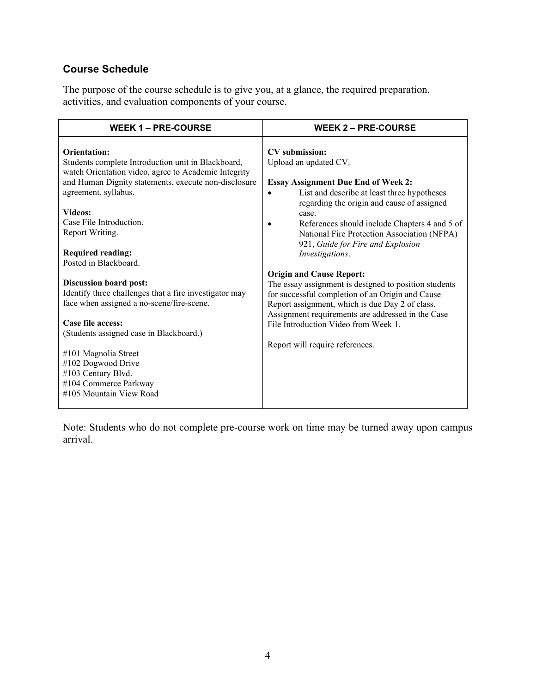# **Course Schedule**

The purpose of the course schedule is to give you, at a glance, the required preparation, activities, and evaluation components of your course.

| <b>WEEK 1 – PRE-COURSE</b>                                                                                                                                                                                                                                                                                                      | <b>WEEK 2 – PRE-COURSE</b>                                                                                                                                                                                                                                                                                                                                                           |
|---------------------------------------------------------------------------------------------------------------------------------------------------------------------------------------------------------------------------------------------------------------------------------------------------------------------------------|--------------------------------------------------------------------------------------------------------------------------------------------------------------------------------------------------------------------------------------------------------------------------------------------------------------------------------------------------------------------------------------|
| Orientation:<br>Students complete Introduction unit in Blackboard,<br>watch Orientation video, agree to Academic Integrity<br>and Human Dignity statements, execute non-disclosure<br>agreement, syllabus.<br><b>Videos:</b><br>Case File Introduction.<br>Report Writing.<br><b>Required reading:</b><br>Posted in Blackboard. | <b>CV</b> submission:<br>Upload an updated CV.<br><b>Essay Assignment Due End of Week 2:</b><br>List and describe at least three hypotheses<br>$\bullet$<br>regarding the origin and cause of assigned<br>case.<br>References should include Chapters 4 and 5 of<br>$\bullet$<br>National Fire Protection Association (NFPA)<br>921, Guide for Fire and Explosion<br>Investigations. |
| <b>Discussion board post:</b><br>Identify three challenges that a fire investigator may<br>face when assigned a no-scene/fire-scene.<br>Case file access:<br>(Students assigned case in Blackboard.)<br>#101 Magnolia Street<br>#102 Dogwood Drive<br>#103 Century Blvd.<br>#104 Commerce Parkway<br>#105 Mountain View Road    | <b>Origin and Cause Report:</b><br>The essay assignment is designed to position students<br>for successful completion of an Origin and Cause<br>Report assignment, which is due Day 2 of class.<br>Assignment requirements are addressed in the Case<br>File Introduction Video from Week 1.<br>Report will require references.                                                      |

Note: Students who do not complete pre-course work on time may be turned away upon campus arrival.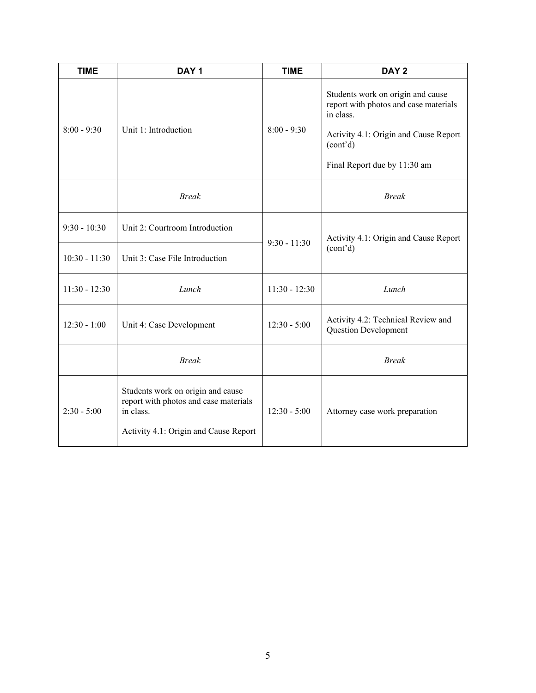| <b>TIME</b>     | DAY <sub>1</sub>                                                                                                                 | <b>TIME</b>                                                                         | DAY <sub>2</sub>                                                                                                                                                             |
|-----------------|----------------------------------------------------------------------------------------------------------------------------------|-------------------------------------------------------------------------------------|------------------------------------------------------------------------------------------------------------------------------------------------------------------------------|
| $8:00 - 9:30$   | Unit 1: Introduction                                                                                                             | $8:00 - 9:30$                                                                       | Students work on origin and cause<br>report with photos and case materials<br>in class.<br>Activity 4.1: Origin and Cause Report<br>(cont'd)<br>Final Report due by 11:30 am |
|                 | <b>Break</b>                                                                                                                     |                                                                                     | <b>Break</b>                                                                                                                                                                 |
| $9:30 - 10:30$  | Unit 2: Courtroom Introduction                                                                                                   | $9:30 - 11:30$                                                                      | Activity 4.1: Origin and Cause Report                                                                                                                                        |
| $10:30 - 11:30$ | Unit 3: Case File Introduction                                                                                                   |                                                                                     | (cont'd)                                                                                                                                                                     |
| $11:30 - 12:30$ | Lunch                                                                                                                            | $11:30 - 12:30$                                                                     | Lunch                                                                                                                                                                        |
| $12:30 - 1:00$  | Unit 4: Case Development                                                                                                         | Activity 4.2: Technical Review and<br>$12:30 - 5:00$<br><b>Question Development</b> |                                                                                                                                                                              |
|                 | <b>Break</b>                                                                                                                     |                                                                                     | <b>Break</b>                                                                                                                                                                 |
| $2:30 - 5:00$   | Students work on origin and cause<br>report with photos and case materials<br>in class.<br>Activity 4.1: Origin and Cause Report | $12:30 - 5:00$                                                                      | Attorney case work preparation                                                                                                                                               |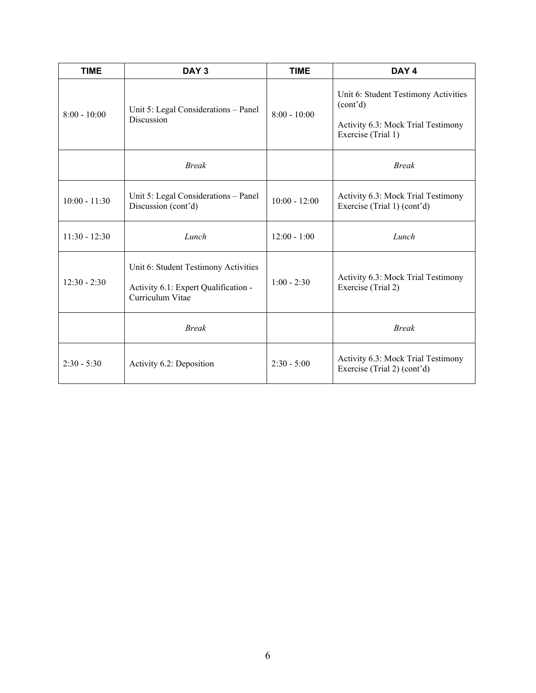| <b>TIME</b>     | DAY <sub>3</sub>                                                                                 | <b>TIME</b>     | DAY 4                                                                                                        |
|-----------------|--------------------------------------------------------------------------------------------------|-----------------|--------------------------------------------------------------------------------------------------------------|
| $8:00 - 10:00$  | Unit 5: Legal Considerations - Panel<br>Discussion                                               | $8:00 - 10:00$  | Unit 6: Student Testimony Activities<br>(cont'd)<br>Activity 6.3: Mock Trial Testimony<br>Exercise (Trial 1) |
|                 | <b>Break</b>                                                                                     |                 | <b>Break</b>                                                                                                 |
| $10:00 - 11:30$ | Unit 5: Legal Considerations - Panel<br>Discussion (cont'd)                                      | $10:00 - 12:00$ | Activity 6.3: Mock Trial Testimony<br>Exercise (Trial 1) (cont'd)                                            |
| $11:30 - 12:30$ | Lunch                                                                                            | $12:00 - 1:00$  | Lunch                                                                                                        |
| $12:30 - 2:30$  | Unit 6: Student Testimony Activities<br>Activity 6.1: Expert Qualification -<br>Curriculum Vitae | $1:00 - 2:30$   | Activity 6.3: Mock Trial Testimony<br>Exercise (Trial 2)                                                     |
|                 | <b>Break</b>                                                                                     |                 | <b>Break</b>                                                                                                 |
| $2:30 - 5:30$   | Activity 6.2: Deposition                                                                         | $2:30 - 5:00$   | Activity 6.3: Mock Trial Testimony<br>Exercise (Trial 2) (cont'd)                                            |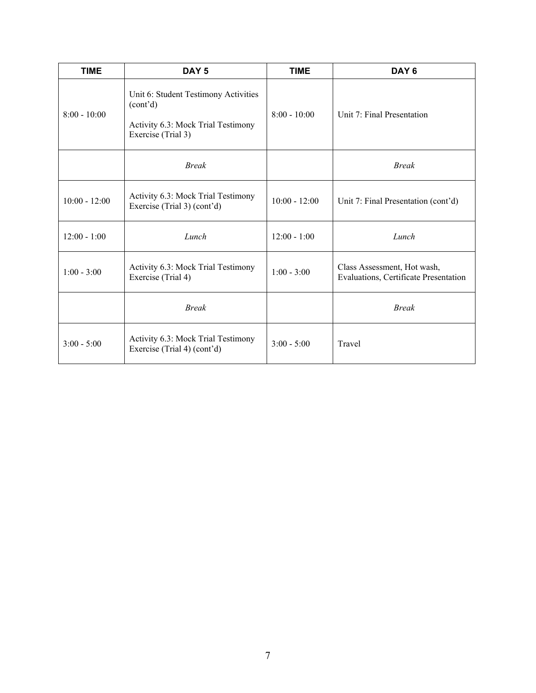| <b>TIME</b>     | DAY <sub>5</sub>                                                                                             | <b>TIME</b>                                                                           | DAY <sub>6</sub>                    |  |
|-----------------|--------------------------------------------------------------------------------------------------------------|---------------------------------------------------------------------------------------|-------------------------------------|--|
| $8:00 - 10:00$  | Unit 6: Student Testimony Activities<br>(cont'd)<br>Activity 6.3: Mock Trial Testimony<br>Exercise (Trial 3) | $8:00 - 10:00$<br>Unit 7: Final Presentation                                          |                                     |  |
|                 | <b>Break</b>                                                                                                 |                                                                                       | <b>Break</b>                        |  |
| $10:00 - 12:00$ | Activity 6.3: Mock Trial Testimony<br>Exercise (Trial 3) (cont'd)                                            | $10:00 - 12:00$                                                                       | Unit 7: Final Presentation (cont'd) |  |
| $12:00 - 1:00$  | Lunch                                                                                                        |                                                                                       | Lunch                               |  |
| $1:00 - 3:00$   | Activity 6.3: Mock Trial Testimony<br>Exercise (Trial 4)                                                     | Class Assessment, Hot wash,<br>$1:00 - 3:00$<br>Evaluations, Certificate Presentation |                                     |  |
|                 | <b>Break</b>                                                                                                 |                                                                                       | <b>Break</b>                        |  |
| $3:00 - 5:00$   | Activity 6.3: Mock Trial Testimony<br>Exercise (Trial 4) (cont'd)                                            | $3:00 - 5:00$                                                                         | Travel                              |  |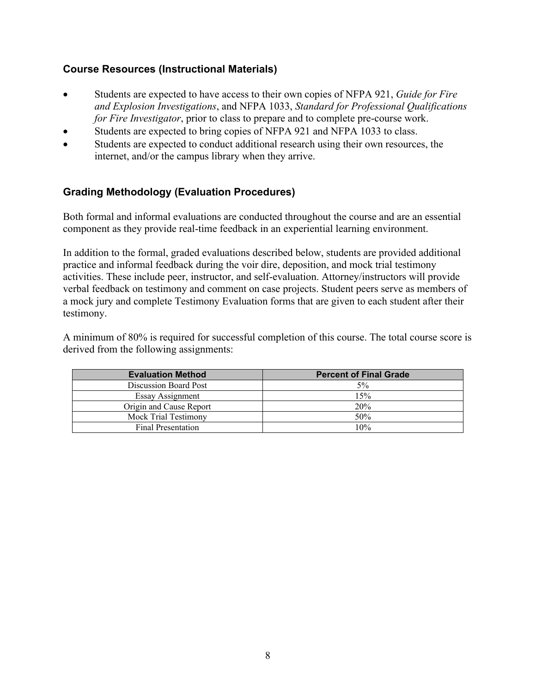## **Course Resources (Instructional Materials)**

- Students are expected to have access to their own copies of NFPA 921, *Guide for Fire and Explosion Investigations*, and NFPA 1033, *Standard for Professional Qualifications for Fire Investigator*, prior to class to prepare and to complete pre-course work.
- Students are expected to bring copies of NFPA 921 and NFPA 1033 to class.
- Students are expected to conduct additional research using their own resources, the internet, and/or the campus library when they arrive.

## **Grading Methodology (Evaluation Procedures)**

Both formal and informal evaluations are conducted throughout the course and are an essential component as they provide real-time feedback in an experiential learning environment.

In addition to the formal, graded evaluations described below, students are provided additional practice and informal feedback during the voir dire, deposition, and mock trial testimony activities. These include peer, instructor, and self-evaluation. Attorney/instructors will provide verbal feedback on testimony and comment on case projects. Student peers serve as members of a mock jury and complete Testimony Evaluation forms that are given to each student after their testimony.

A minimum of 80% is required for successful completion of this course. The total course score is derived from the following assignments:

| <b>Evaluation Method</b> | <b>Percent of Final Grade</b> |
|--------------------------|-------------------------------|
| Discussion Board Post    | 5%                            |
| <b>Essay Assignment</b>  | 15%                           |
| Origin and Cause Report  | 20%                           |
| Mock Trial Testimony     | 50%                           |
| Final Presentation       | 10%                           |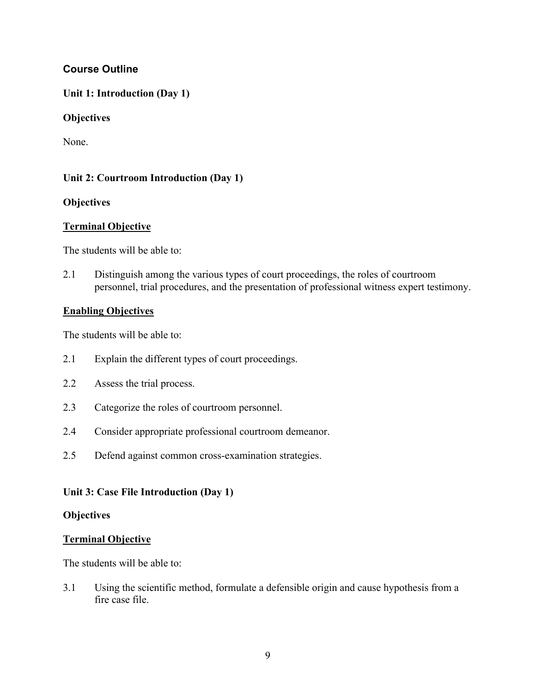## **Course Outline**

#### **Unit 1: Introduction (Day 1)**

#### **Objectives**

None.

#### **Unit 2: Courtroom Introduction (Day 1)**

#### **Objectives**

#### **Terminal Objective**

The students will be able to:

2.1 Distinguish among the various types of court proceedings, the roles of courtroom personnel, trial procedures, and the presentation of professional witness expert testimony.

#### **Enabling Objectives**

The students will be able to:

- 2.1 Explain the different types of court proceedings.
- 2.2 Assess the trial process.
- 2.3 Categorize the roles of courtroom personnel.
- 2.4 Consider appropriate professional courtroom demeanor.
- 2.5 Defend against common cross-examination strategies.

#### **Unit 3: Case File Introduction (Day 1)**

#### **Objectives**

#### **Terminal Objective**

The students will be able to:

3.1 Using the scientific method, formulate a defensible origin and cause hypothesis from a fire case file.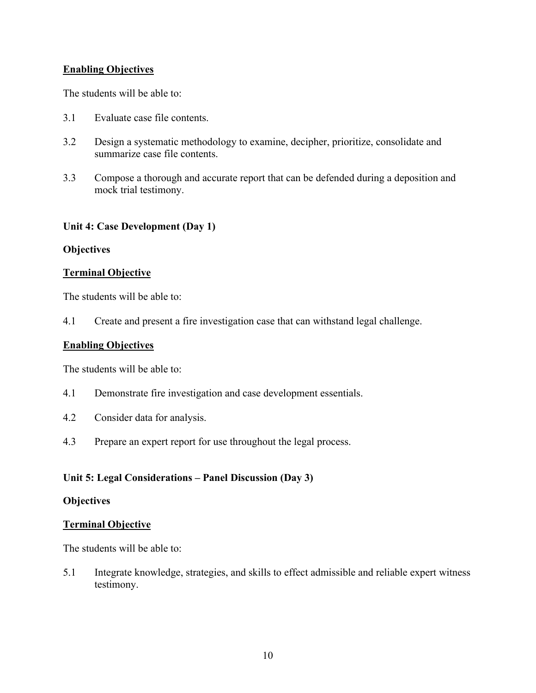#### **Enabling Objectives**

The students will be able to:

- 3.1 Evaluate case file contents.
- 3.2 Design a systematic methodology to examine, decipher, prioritize, consolidate and summarize case file contents.
- 3.3 Compose a thorough and accurate report that can be defended during a deposition and mock trial testimony.

#### **Unit 4: Case Development (Day 1)**

#### **Objectives**

#### **Terminal Objective**

The students will be able to:

4.1 Create and present a fire investigation case that can withstand legal challenge.

#### **Enabling Objectives**

The students will be able to:

- 4.1 Demonstrate fire investigation and case development essentials.
- 4.2 Consider data for analysis.
- 4.3 Prepare an expert report for use throughout the legal process.

#### **Unit 5: Legal Considerations – Panel Discussion (Day 3)**

#### **Objectives**

#### **Terminal Objective**

The students will be able to:

5.1 Integrate knowledge, strategies, and skills to effect admissible and reliable expert witness testimony.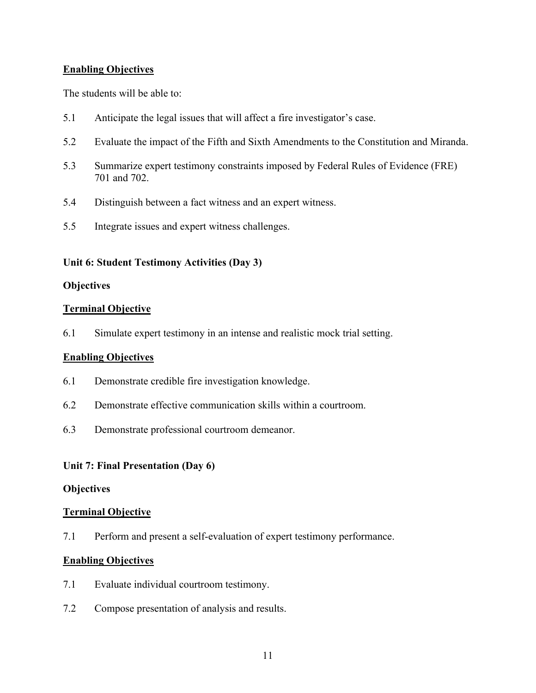#### **Enabling Objectives**

The students will be able to:

- 5.1 Anticipate the legal issues that will affect a fire investigator's case.
- 5.2 Evaluate the impact of the Fifth and Sixth Amendments to the Constitution and Miranda.
- 5.3 Summarize expert testimony constraints imposed by Federal Rules of Evidence (FRE) 701 and 702.
- 5.4 Distinguish between a fact witness and an expert witness.
- 5.5 Integrate issues and expert witness challenges.

#### **Unit 6: Student Testimony Activities (Day 3)**

#### **Objectives**

#### **Terminal Objective**

6.1 Simulate expert testimony in an intense and realistic mock trial setting.

#### **Enabling Objectives**

- 6.1 Demonstrate credible fire investigation knowledge.
- 6.2 Demonstrate effective communication skills within a courtroom.
- 6.3 Demonstrate professional courtroom demeanor.

#### **Unit 7: Final Presentation (Day 6)**

#### **Objectives**

#### **Terminal Objective**

7.1 Perform and present a self-evaluation of expert testimony performance.

#### **Enabling Objectives**

- 7.1 Evaluate individual courtroom testimony.
- 7.2 Compose presentation of analysis and results.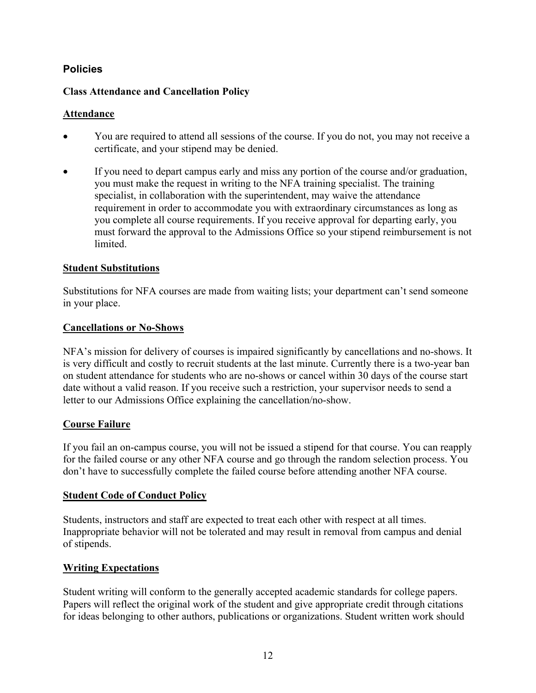## **Policies**

#### **Class Attendance and Cancellation Policy**

#### **Attendance**

- You are required to attend all sessions of the course. If you do not, you may not receive a certificate, and your stipend may be denied.
- If you need to depart campus early and miss any portion of the course and/or graduation, you must make the request in writing to the NFA training specialist. The training specialist, in collaboration with the superintendent, may waive the attendance requirement in order to accommodate you with extraordinary circumstances as long as you complete all course requirements. If you receive approval for departing early, you must forward the approval to the Admissions Office so your stipend reimbursement is not limited.

#### **Student Substitutions**

Substitutions for NFA courses are made from waiting lists; your department can't send someone in your place.

#### **Cancellations or No-Shows**

NFA's mission for delivery of courses is impaired significantly by cancellations and no-shows. It is very difficult and costly to recruit students at the last minute. Currently there is a two-year ban on student attendance for students who are no-shows or cancel within 30 days of the course start date without a valid reason. If you receive such a restriction, your supervisor needs to send a letter to our Admissions Office explaining the cancellation/no-show.

## **Course Failure**

If you fail an on-campus course, you will not be issued a stipend for that course. You can reapply for the failed course or any other NFA course and go through the random selection process. You don't have to successfully complete the failed course before attending another NFA course.

#### **Student Code of Conduct Policy**

Students, instructors and staff are expected to treat each other with respect at all times. Inappropriate behavior will not be tolerated and may result in removal from campus and denial of stipends.

## **Writing Expectations**

Student writing will conform to the generally accepted academic standards for college papers. Papers will reflect the original work of the student and give appropriate credit through citations for ideas belonging to other authors, publications or organizations. Student written work should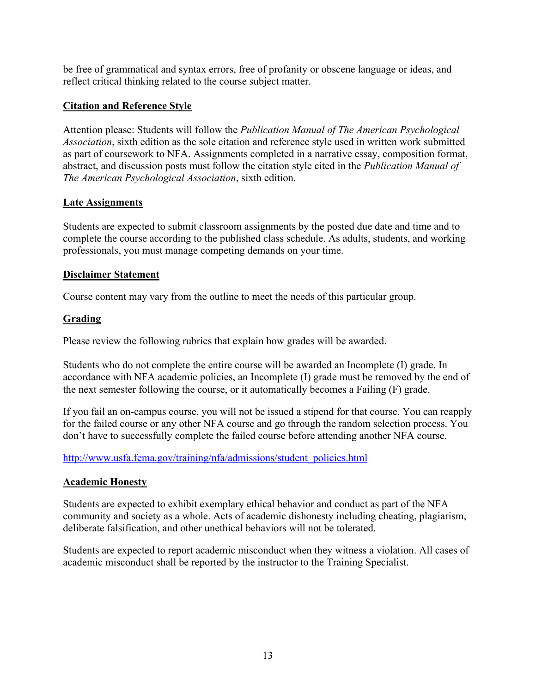be free of grammatical and syntax errors, free of profanity or obscene language or ideas, and reflect critical thinking related to the course subject matter.

#### **Citation and Reference Style**

Attention please: Students will follow the *Publication Manual of The American Psychological Association*, sixth edition as the sole citation and reference style used in written work submitted as part of coursework to NFA. Assignments completed in a narrative essay, composition format, abstract, and discussion posts must follow the citation style cited in the *Publication Manual of The American Psychological Association*, sixth edition.

#### **Late Assignments**

Students are expected to submit classroom assignments by the posted due date and time and to complete the course according to the published class schedule. As adults, students, and working professionals, you must manage competing demands on your time.

#### **Disclaimer Statement**

Course content may vary from the outline to meet the needs of this particular group.

#### **Grading**

Please review the following rubrics that explain how grades will be awarded.

Students who do not complete the entire course will be awarded an Incomplete (I) grade. In accordance with NFA academic policies, an Incomplete (I) grade must be removed by the end of the next semester following the course, or it automatically becomes a Failing (F) grade.

If you fail an on-campus course, you will not be issued a stipend for that course. You can reapply for the failed course or any other NFA course and go through the random selection process. You don't have to successfully complete the failed course before attending another NFA course.

[http://www.usfa.fema.gov/training/nfa/admissions/student\\_policies.html](http://www.usfa.fema.gov/training/nfa/admissions/student_policies.html)

## **Academic Honesty**

Students are expected to exhibit exemplary ethical behavior and conduct as part of the NFA community and society as a whole. Acts of academic dishonesty including cheating, plagiarism, deliberate falsification, and other unethical behaviors will not be tolerated.

Students are expected to report academic misconduct when they witness a violation. All cases of academic misconduct shall be reported by the instructor to the Training Specialist.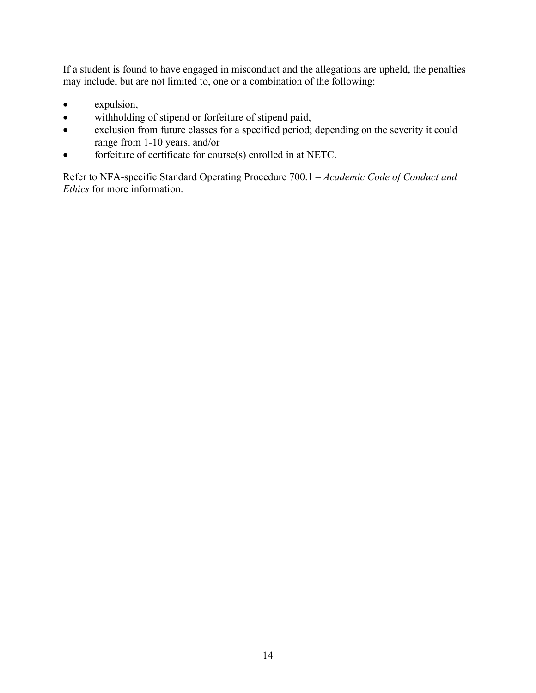If a student is found to have engaged in misconduct and the allegations are upheld, the penalties may include, but are not limited to, one or a combination of the following:

- expulsion,
- withholding of stipend or forfeiture of stipend paid,
- exclusion from future classes for a specified period; depending on the severity it could range from 1-10 years, and/or
- forfeiture of certificate for course(s) enrolled in at NETC.

Refer to NFA-specific Standard Operating Procedure 700.1 – *Academic Code of Conduct and Ethics* for more information.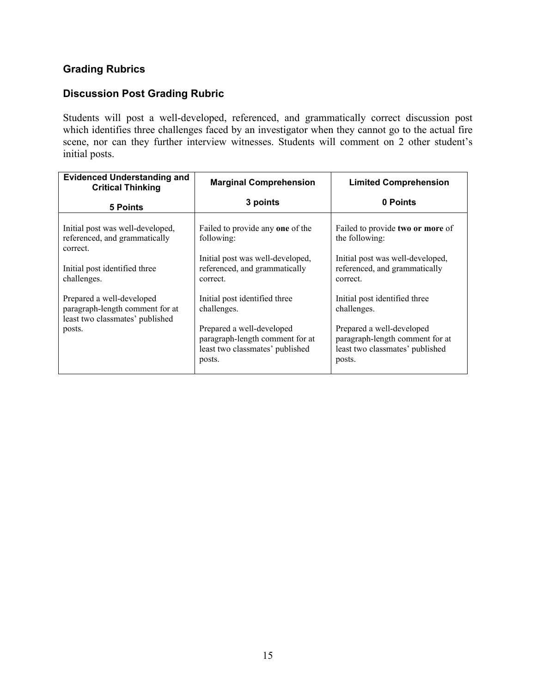# **Grading Rubrics**

## **Discussion Post Grading Rubric**

Students will post a well-developed, referenced, and grammatically correct discussion post which identifies three challenges faced by an investigator when they cannot go to the actual fire scene, nor can they further interview witnesses. Students will comment on 2 other student's initial posts.

| <b>Evidenced Understanding and</b><br><b>Critical Thinking</b>                                                                | <b>Marginal Comprehension</b>                                                                                                                             | <b>Limited Comprehension</b>                                                                                                                              |
|-------------------------------------------------------------------------------------------------------------------------------|-----------------------------------------------------------------------------------------------------------------------------------------------------------|-----------------------------------------------------------------------------------------------------------------------------------------------------------|
| <b>5 Points</b>                                                                                                               | 3 points                                                                                                                                                  | 0 Points                                                                                                                                                  |
| Initial post was well-developed,<br>referenced, and grammatically<br>correct.<br>Initial post identified three<br>challenges. | Failed to provide any one of the<br>following:<br>Initial post was well-developed,<br>referenced, and grammatically<br>correct.                           | Failed to provide two or more of<br>the following:<br>Initial post was well-developed,<br>referenced, and grammatically<br>correct.                       |
| Prepared a well-developed<br>paragraph-length comment for at<br>least two classmates' published<br>posts.                     | Initial post identified three<br>challenges.<br>Prepared a well-developed<br>paragraph-length comment for at<br>least two classmates' published<br>posts. | Initial post identified three<br>challenges.<br>Prepared a well-developed<br>paragraph-length comment for at<br>least two classmates' published<br>posts. |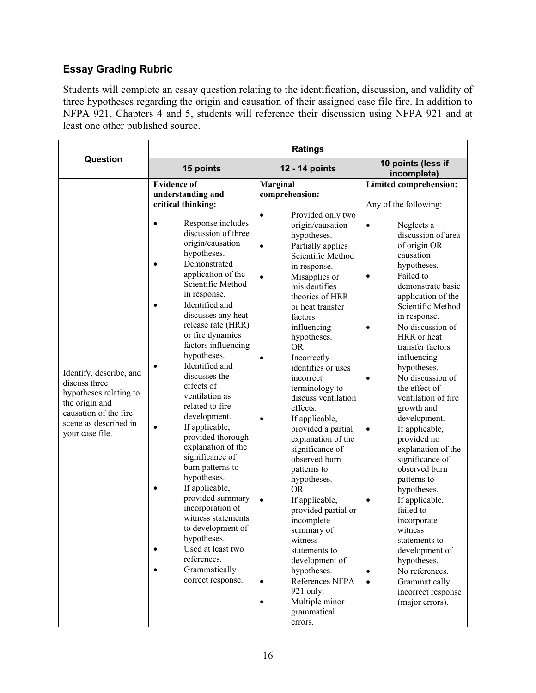# **Essay Grading Rubric**

Students will complete an essay question relating to the identification, discussion, and validity of three hypotheses regarding the origin and causation of their assigned case file fire. In addition to NFPA 921, Chapters 4 and 5, students will reference their discussion using NFPA 921 and at least one other published source.

|                                                                                                                                                           | <b>Ratings</b>                                                                                                                                                                                                                                                                                                                                                                                                                                                                                                                                                                                                                                                                                                                                                                                                                                                    |                                                                                                                                                                                                                                                                                                                                                                                                                                                                                                                                                                                                                                                                                                                                                                                                                                          |                                                                                                                                                                                                                                                                                                                                                                                                                                                                                                                                                                                                                                                                                                                                                                                                                                     |  |  |
|-----------------------------------------------------------------------------------------------------------------------------------------------------------|-------------------------------------------------------------------------------------------------------------------------------------------------------------------------------------------------------------------------------------------------------------------------------------------------------------------------------------------------------------------------------------------------------------------------------------------------------------------------------------------------------------------------------------------------------------------------------------------------------------------------------------------------------------------------------------------------------------------------------------------------------------------------------------------------------------------------------------------------------------------|------------------------------------------------------------------------------------------------------------------------------------------------------------------------------------------------------------------------------------------------------------------------------------------------------------------------------------------------------------------------------------------------------------------------------------------------------------------------------------------------------------------------------------------------------------------------------------------------------------------------------------------------------------------------------------------------------------------------------------------------------------------------------------------------------------------------------------------|-------------------------------------------------------------------------------------------------------------------------------------------------------------------------------------------------------------------------------------------------------------------------------------------------------------------------------------------------------------------------------------------------------------------------------------------------------------------------------------------------------------------------------------------------------------------------------------------------------------------------------------------------------------------------------------------------------------------------------------------------------------------------------------------------------------------------------------|--|--|
| <b>Question</b>                                                                                                                                           | 15 points                                                                                                                                                                                                                                                                                                                                                                                                                                                                                                                                                                                                                                                                                                                                                                                                                                                         | 12 - 14 points                                                                                                                                                                                                                                                                                                                                                                                                                                                                                                                                                                                                                                                                                                                                                                                                                           | 10 points (less if<br>incomplete)                                                                                                                                                                                                                                                                                                                                                                                                                                                                                                                                                                                                                                                                                                                                                                                                   |  |  |
| Identify, describe, and<br>discuss three<br>hypotheses relating to<br>the origin and<br>causation of the fire<br>scene as described in<br>your case file. | <b>Evidence of</b><br>understanding and<br>critical thinking:<br>Response includes<br>$\bullet$<br>discussion of three<br>origin/causation<br>hypotheses.<br>Demonstrated<br>$\bullet$<br>application of the<br>Scientific Method<br>in response.<br>Identified and<br>$\bullet$<br>discusses any heat<br>release rate (HRR)<br>or fire dynamics<br>factors influencing<br>hypotheses.<br>Identified and<br>$\bullet$<br>discusses the<br>effects of<br>ventilation as<br>related to fire<br>development.<br>If applicable,<br>$\bullet$<br>provided thorough<br>explanation of the<br>significance of<br>burn patterns to<br>hypotheses.<br>If applicable,<br>$\bullet$<br>provided summary<br>incorporation of<br>witness statements<br>to development of<br>hypotheses.<br>Used at least two<br>references.<br>Grammatically<br>$\bullet$<br>correct response. | Marginal<br>comprehension:<br>Provided only two<br>$\bullet$<br>origin/causation<br>hypotheses.<br>Partially applies<br>$\bullet$<br>Scientific Method<br>in response.<br>Misapplies or<br>$\bullet$<br>misidentifies<br>theories of HRR<br>or heat transfer<br>factors<br>influencing<br>hypotheses.<br><b>OR</b><br>Incorrectly<br>$\bullet$<br>identifies or uses<br>incorrect<br>terminology to<br>discuss ventilation<br>effects.<br>If applicable,<br>$\bullet$<br>provided a partial<br>explanation of the<br>significance of<br>observed burn<br>patterns to<br>hypotheses.<br><b>OR</b><br>$\bullet$<br>If applicable,<br>provided partial or<br>incomplete<br>summary of<br>witness<br>statements to<br>development of<br>hypotheses.<br>References NFPA<br>921 only.<br>Multiple minor<br>$\bullet$<br>grammatical<br>errors. | Limited comprehension:<br>Any of the following:<br>Neglects a<br>$\bullet$<br>discussion of area<br>of origin OR<br>causation<br>hypotheses.<br>Failed to<br>$\bullet$<br>demonstrate basic<br>application of the<br>Scientific Method<br>in response.<br>No discussion of<br>$\bullet$<br>HRR or heat<br>transfer factors<br>influencing<br>hypotheses.<br>No discussion of<br>$\bullet$<br>the effect of<br>ventilation of fire<br>growth and<br>development.<br>If applicable,<br>$\bullet$<br>provided no<br>explanation of the<br>significance of<br>observed burn<br>patterns to<br>hypotheses.<br>If applicable,<br>$\bullet$<br>failed to<br>incorporate<br>witness<br>statements to<br>development of<br>hypotheses.<br>No references.<br>$\bullet$<br>Grammatically<br>$\bullet$<br>incorrect response<br>(major errors). |  |  |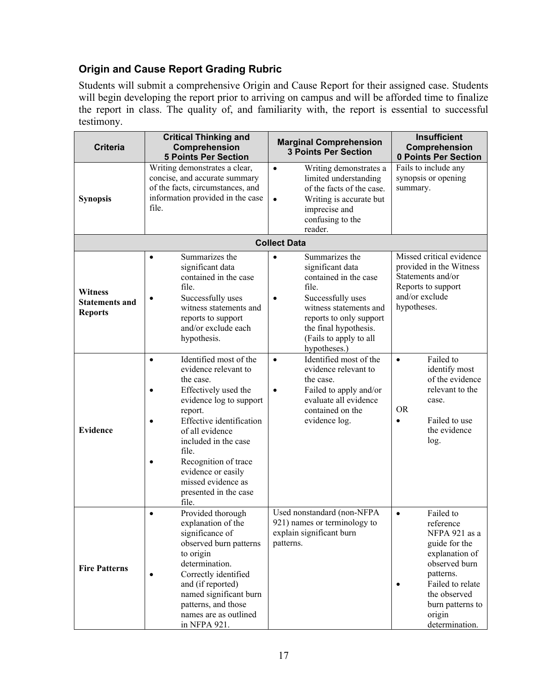# **Origin and Cause Report Grading Rubric**

Students will submit a comprehensive Origin and Cause Report for their assigned case. Students will begin developing the report prior to arriving on campus and will be afforded time to finalize the report in class. The quality of, and familiarity with, the report is essential to successful testimony.

| <b>Criteria</b>                                           | <b>Critical Thinking and</b><br>Comprehension<br><b>5 Points Per Section</b>                                                                                                                                                                                                                                                 | <b>Marginal Comprehension</b><br><b>3 Points Per Section</b>                                                                                                                                                                                | <b>Insufficient</b><br>Comprehension<br>0 Points Per Section                                                                                                                                              |  |
|-----------------------------------------------------------|------------------------------------------------------------------------------------------------------------------------------------------------------------------------------------------------------------------------------------------------------------------------------------------------------------------------------|---------------------------------------------------------------------------------------------------------------------------------------------------------------------------------------------------------------------------------------------|-----------------------------------------------------------------------------------------------------------------------------------------------------------------------------------------------------------|--|
| <b>Synopsis</b>                                           | Writing demonstrates a clear,<br>concise, and accurate summary<br>of the facts, circumstances, and<br>information provided in the case<br>file.                                                                                                                                                                              | Writing demonstrates a<br>$\bullet$<br>limited understanding<br>of the facts of the case.<br>Writing is accurate but<br>$\bullet$<br>imprecise and<br>confusing to the<br>reader.                                                           | Fails to include any<br>synopsis or opening<br>summary.                                                                                                                                                   |  |
|                                                           |                                                                                                                                                                                                                                                                                                                              | <b>Collect Data</b>                                                                                                                                                                                                                         |                                                                                                                                                                                                           |  |
| <b>Witness</b><br><b>Statements and</b><br><b>Reports</b> | Summarizes the<br>significant data<br>contained in the case<br>file.<br>Successfully uses<br>witness statements and<br>reports to support<br>and/or exclude each<br>hypothesis.                                                                                                                                              | Summarizes the<br>$\bullet$<br>significant data<br>contained in the case<br>file.<br>Successfully uses<br>$\bullet$<br>witness statements and<br>reports to only support<br>the final hypothesis.<br>(Fails to apply to all<br>hypotheses.) | Missed critical evidence<br>provided in the Witness<br>Statements and/or<br>Reports to support<br>and/or exclude<br>hypotheses.                                                                           |  |
| <b>Evidence</b>                                           | Identified most of the<br>$\bullet$<br>evidence relevant to<br>the case.<br>Effectively used the<br>evidence log to support<br>report.<br>Effective identification<br>of all evidence<br>included in the case<br>file.<br>Recognition of trace<br>evidence or easily<br>missed evidence as<br>presented in the case<br>file. | Identified most of the<br>$\bullet$<br>evidence relevant to<br>the case.<br>Failed to apply and/or<br>$\bullet$<br>evaluate all evidence<br>contained on the<br>evidence log.                                                               | Failed to<br>$\bullet$<br>identify most<br>of the evidence<br>relevant to the<br>case.<br><b>OR</b><br>Failed to use<br>$\bullet$<br>the evidence<br>log.                                                 |  |
| <b>Fire Patterns</b>                                      | Provided thorough<br>$\bullet$<br>explanation of the<br>significance of<br>observed burn patterns<br>to origin<br>determination.<br>Correctly identified<br>and (if reported)<br>named significant burn<br>patterns, and those<br>names are as outlined<br>in NFPA 921.                                                      | Used nonstandard (non-NFPA<br>921) names or terminology to<br>explain significant burn<br>patterns.                                                                                                                                         | Failed to<br>$\bullet$<br>reference<br>NFPA 921 as a<br>guide for the<br>explanation of<br>observed burn<br>patterns.<br>Failed to relate<br>the observed<br>burn patterns to<br>origin<br>determination. |  |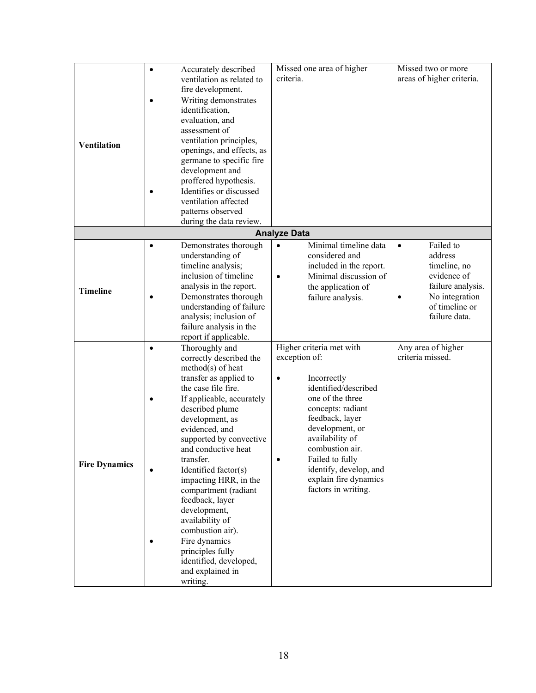|                      | $\bullet$ | Accurately described      | Missed one area of higher          | Missed two or more        |
|----------------------|-----------|---------------------------|------------------------------------|---------------------------|
|                      |           | ventilation as related to | criteria.                          | areas of higher criteria. |
|                      |           | fire development.         |                                    |                           |
|                      |           | Writing demonstrates      |                                    |                           |
|                      |           | identification,           |                                    |                           |
|                      |           | evaluation, and           |                                    |                           |
|                      |           |                           |                                    |                           |
|                      |           | assessment of             |                                    |                           |
| <b>Ventilation</b>   |           | ventilation principles,   |                                    |                           |
|                      |           | openings, and effects, as |                                    |                           |
|                      |           | germane to specific fire  |                                    |                           |
|                      |           | development and           |                                    |                           |
|                      |           | proffered hypothesis.     |                                    |                           |
|                      |           | Identifies or discussed   |                                    |                           |
|                      |           | ventilation affected      |                                    |                           |
|                      |           | patterns observed         |                                    |                           |
|                      |           | during the data review.   |                                    |                           |
|                      |           |                           | <b>Analyze Data</b>                |                           |
|                      |           | Demonstrates thorough     | Minimal timeline data<br>$\bullet$ | Failed to<br>$\bullet$    |
| <b>Timeline</b>      |           | understanding of          | considered and                     | address                   |
|                      |           | timeline analysis;        | included in the report.            | timeline, no              |
|                      |           | inclusion of timeline     | Minimal discussion of<br>$\bullet$ | evidence of               |
|                      |           | analysis in the report.   | the application of                 | failure analysis.         |
|                      |           | Demonstrates thorough     | failure analysis.                  | No integration<br>٠       |
|                      |           | understanding of failure  |                                    | of timeline or            |
|                      |           | analysis; inclusion of    |                                    | failure data.             |
|                      |           | failure analysis in the   |                                    |                           |
|                      |           | report if applicable.     |                                    |                           |
|                      | $\bullet$ | Thoroughly and            | Higher criteria met with           | Any area of higher        |
|                      |           | correctly described the   | exception of:                      | criteria missed.          |
|                      |           | $method(s)$ of heat       |                                    |                           |
|                      |           | transfer as applied to    | Incorrectly<br>٠                   |                           |
|                      |           | the case file fire.       | identified/described               |                           |
|                      |           | If applicable, accurately | one of the three                   |                           |
|                      |           | described plume           | concepts: radiant                  |                           |
|                      |           | development, as           | feedback, layer                    |                           |
|                      |           | evidenced, and            | development, or                    |                           |
|                      |           | supported by convective   | availability of                    |                           |
|                      |           | and conductive heat       | combustion air.                    |                           |
| <b>Fire Dynamics</b> |           | transfer.                 | Failed to fully                    |                           |
|                      |           | Identified factor(s)      | identify, develop, and             |                           |
|                      |           | impacting HRR, in the     | explain fire dynamics              |                           |
|                      |           | compartment (radiant      | factors in writing.                |                           |
|                      |           | feedback, layer           |                                    |                           |
|                      |           | development,              |                                    |                           |
|                      |           | availability of           |                                    |                           |
|                      |           | combustion air).          |                                    |                           |
|                      |           | Fire dynamics             |                                    |                           |
|                      |           | principles fully          |                                    |                           |
|                      |           | identified, developed,    |                                    |                           |
|                      |           | and explained in          |                                    |                           |
|                      |           | writing.                  |                                    |                           |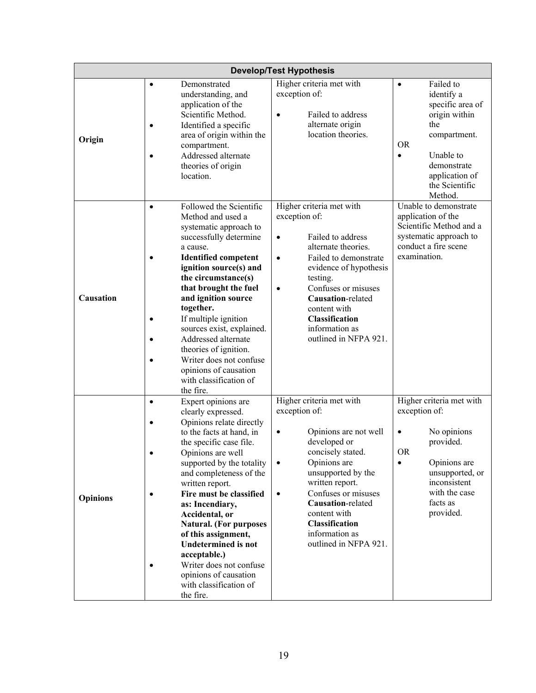| <b>Develop/Test Hypothesis</b> |                                                                                                                                                                                                                                                                                                                                                                                                                                                                                                                         |                                     |                                                                                                                                                                                                                                                                                           |                                         |                                                                                                                                                                |
|--------------------------------|-------------------------------------------------------------------------------------------------------------------------------------------------------------------------------------------------------------------------------------------------------------------------------------------------------------------------------------------------------------------------------------------------------------------------------------------------------------------------------------------------------------------------|-------------------------------------|-------------------------------------------------------------------------------------------------------------------------------------------------------------------------------------------------------------------------------------------------------------------------------------------|-----------------------------------------|----------------------------------------------------------------------------------------------------------------------------------------------------------------|
| Origin                         | Demonstrated<br>$\bullet$<br>understanding, and<br>application of the<br>Scientific Method.<br>Identified a specific<br>area of origin within the<br>compartment.<br>Addressed alternate<br>theories of origin<br>location.                                                                                                                                                                                                                                                                                             | $\bullet$                           | Higher criteria met with<br>exception of:<br>Failed to address<br>alternate origin<br>location theories.                                                                                                                                                                                  | $\bullet$<br><b>OR</b><br>$\bullet$     | Failed to<br>identify a<br>specific area of<br>origin within<br>the<br>compartment.<br>Unable to<br>demonstrate<br>application of<br>the Scientific<br>Method. |
| Causation                      | Followed the Scientific<br>$\bullet$<br>Method and used a<br>systematic approach to<br>successfully determine<br>a cause.<br><b>Identified competent</b><br>$\bullet$<br>ignition source(s) and<br>the circumstance(s)<br>that brought the fuel<br>and ignition source<br>together.<br>If multiple ignition<br>sources exist, explained.<br>Addressed alternate<br>theories of ignition.<br>Writer does not confuse<br>opinions of causation<br>with classification of<br>the fire.                                     | $\bullet$<br>$\bullet$<br>$\bullet$ | Higher criteria met with<br>exception of:<br>Failed to address<br>alternate theories.<br>Failed to demonstrate<br>evidence of hypothesis<br>testing.<br>Confuses or misuses<br>Causation-related<br>content with<br><b>Classification</b><br>information as<br>outlined in NFPA 921.      |                                         | Unable to demonstrate<br>application of the<br>Scientific Method and a<br>systematic approach to<br>conduct a fire scene<br>examination.                       |
| <b>Opinions</b>                | Expert opinions are<br>$\bullet$<br>clearly expressed.<br>Opinions relate directly<br>to the facts at hand, in<br>the specific case file.<br>Opinions are well<br>supported by the totality<br>and completeness of the<br>written report.<br>Fire must be classified<br>$\bullet$<br>as: Incendiary,<br>Accidental, or<br><b>Natural.</b> (For purposes<br>of this assignment,<br><b>Undetermined is not</b><br>acceptable.)<br>Writer does not confuse<br>opinions of causation<br>with classification of<br>the fire. | $\bullet$<br>$\bullet$<br>$\bullet$ | Higher criteria met with<br>exception of:<br>Opinions are not well<br>developed or<br>concisely stated.<br>Opinions are<br>unsupported by the<br>written report.<br>Confuses or misuses<br>Causation-related<br>content with<br>Classification<br>information as<br>outlined in NFPA 921. | exception of:<br>$\bullet$<br><b>OR</b> | Higher criteria met with<br>No opinions<br>provided.<br>Opinions are<br>unsupported, or<br>inconsistent<br>with the case<br>facts as<br>provided.              |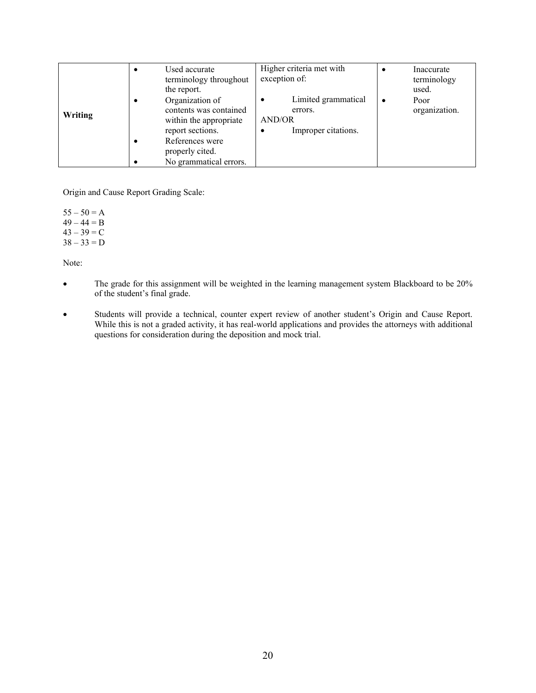|         | Used accurate<br>terminology throughout<br>the report.                                                                                                  | Higher criteria met with<br>exception of:                            | Inaccurate<br>terminology<br>used. |
|---------|---------------------------------------------------------------------------------------------------------------------------------------------------------|----------------------------------------------------------------------|------------------------------------|
| Writing | Organization of<br>contents was contained<br>within the appropriate<br>report sections.<br>References were<br>properly cited.<br>No grammatical errors. | Limited grammatical<br>٠<br>errors.<br>AND/OR<br>Improper citations. | Poor<br>organization.              |

Origin and Cause Report Grading Scale:

 $55 - 50 = A$  $49 - 44 = B$  $43 - 39 = C$  $38 - 33 = D$ 

Note:

- The grade for this assignment will be weighted in the learning management system Blackboard to be 20% of the student's final grade.
- Students will provide a technical, counter expert review of another student's Origin and Cause Report. While this is not a graded activity, it has real-world applications and provides the attorneys with additional questions for consideration during the deposition and mock trial.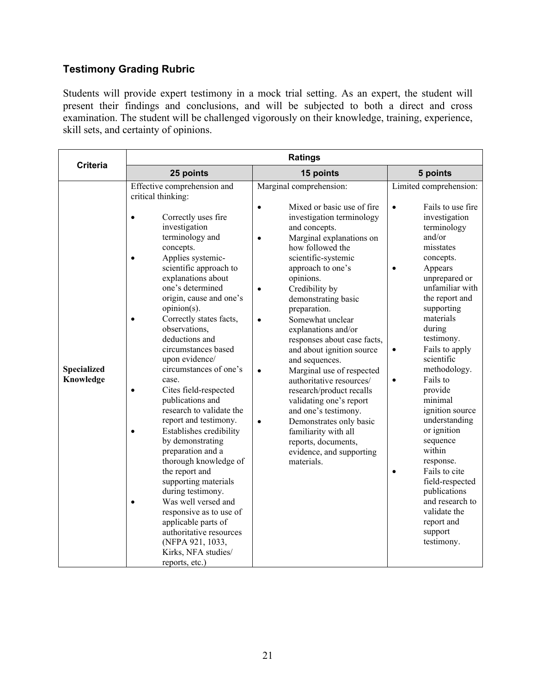# **Testimony Grading Rubric**

Students will provide expert testimony in a mock trial setting. As an expert, the student will present their findings and conclusions, and will be subjected to both a direct and cross examination. The student will be challenged vigorously on their knowledge, training, experience, skill sets, and certainty of opinions.

|                                 | <b>Ratings</b>                                                                                                                                                                                                                                                                                                                                                                                                                                                                                                                                                                                                                                                                                                                                                                                                                                     |                                                                                                                                                                                                                                                                                                                                                                                                                                                                                                                                                                                                                                                                                                                |                                                                                                                                                                                                                                                                                                                                                                                                                                                                                                                                                                                                            |  |  |  |
|---------------------------------|----------------------------------------------------------------------------------------------------------------------------------------------------------------------------------------------------------------------------------------------------------------------------------------------------------------------------------------------------------------------------------------------------------------------------------------------------------------------------------------------------------------------------------------------------------------------------------------------------------------------------------------------------------------------------------------------------------------------------------------------------------------------------------------------------------------------------------------------------|----------------------------------------------------------------------------------------------------------------------------------------------------------------------------------------------------------------------------------------------------------------------------------------------------------------------------------------------------------------------------------------------------------------------------------------------------------------------------------------------------------------------------------------------------------------------------------------------------------------------------------------------------------------------------------------------------------------|------------------------------------------------------------------------------------------------------------------------------------------------------------------------------------------------------------------------------------------------------------------------------------------------------------------------------------------------------------------------------------------------------------------------------------------------------------------------------------------------------------------------------------------------------------------------------------------------------------|--|--|--|
| <b>Criteria</b>                 | 25 points                                                                                                                                                                                                                                                                                                                                                                                                                                                                                                                                                                                                                                                                                                                                                                                                                                          | 15 points                                                                                                                                                                                                                                                                                                                                                                                                                                                                                                                                                                                                                                                                                                      | 5 points                                                                                                                                                                                                                                                                                                                                                                                                                                                                                                                                                                                                   |  |  |  |
| <b>Specialized</b><br>Knowledge | Effective comprehension and<br>critical thinking:<br>Correctly uses fire<br>investigation<br>terminology and<br>concepts.<br>Applies systemic-<br>scientific approach to<br>explanations about<br>one's determined<br>origin, cause and one's<br>opinion(s).<br>Correctly states facts,<br>observations,<br>deductions and<br>circumstances based<br>upon evidence/<br>circumstances of one's<br>case.<br>Cites field-respected<br>$\bullet$<br>publications and<br>research to validate the<br>report and testimony.<br>Establishes credibility<br>by demonstrating<br>preparation and a<br>thorough knowledge of<br>the report and<br>supporting materials<br>during testimony.<br>Was well versed and<br>responsive as to use of<br>applicable parts of<br>authoritative resources<br>(NFPA 921, 1033,<br>Kirks, NFA studies/<br>reports, etc.) | Marginal comprehension:<br>Mixed or basic use of fire<br>investigation terminology<br>and concepts.<br>Marginal explanations on<br>how followed the<br>scientific-systemic<br>approach to one's<br>opinions.<br>Credibility by<br>$\bullet$<br>demonstrating basic<br>preparation.<br>Somewhat unclear<br>$\bullet$<br>explanations and/or<br>responses about case facts,<br>and about ignition source<br>and sequences.<br>Marginal use of respected<br>$\bullet$<br>authoritative resources/<br>research/product recalls<br>validating one's report<br>and one's testimony.<br>Demonstrates only basic<br>$\bullet$<br>familiarity with all<br>reports, documents,<br>evidence, and supporting<br>materials. | Limited comprehension:<br>Fails to use fire<br>$\bullet$<br>investigation<br>terminology<br>and/or<br>misstates<br>concepts.<br>Appears<br>$\bullet$<br>unprepared or<br>unfamiliar with<br>the report and<br>supporting<br>materials<br>during<br>testimony.<br>Fails to apply<br>$\bullet$<br>scientific<br>methodology.<br>Fails to<br>$\bullet$<br>provide<br>minimal<br>ignition source<br>understanding<br>or ignition<br>sequence<br>within<br>response.<br>Fails to cite<br>$\bullet$<br>field-respected<br>publications<br>and research to<br>validate the<br>report and<br>support<br>testimony. |  |  |  |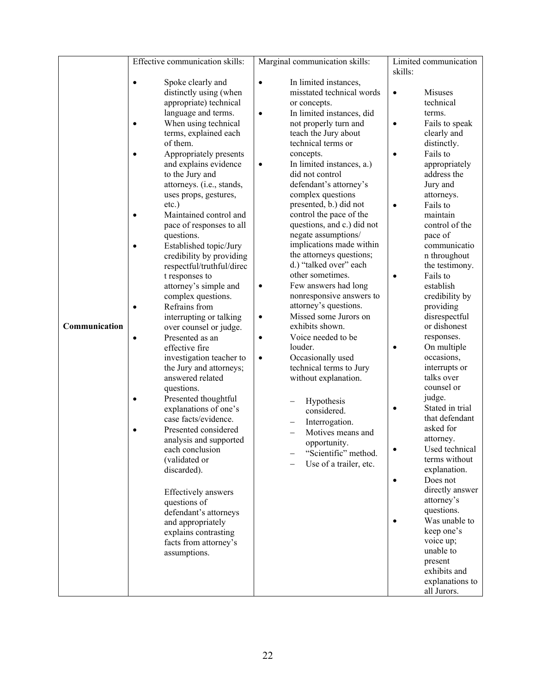|               | Effective communication skills:               |           | Marginal communication skills:                    |           | Limited communication     |
|---------------|-----------------------------------------------|-----------|---------------------------------------------------|-----------|---------------------------|
|               |                                               |           |                                                   | skills:   |                           |
|               | Spoke clearly and<br>$\bullet$                | $\bullet$ | In limited instances,                             |           |                           |
|               | distinctly using (when                        |           | misstated technical words                         | $\bullet$ | <b>Misuses</b>            |
|               | appropriate) technical                        |           | or concepts.                                      |           | technical                 |
|               | language and terms.                           | $\bullet$ | In limited instances, did                         |           | terms.                    |
|               | When using technical<br>$\bullet$             |           | not properly turn and                             | $\bullet$ | Fails to speak            |
|               | terms, explained each                         |           | teach the Jury about                              |           | clearly and               |
|               | of them.                                      |           | technical terms or                                |           | distinctly.               |
|               | Appropriately presents                        |           | concepts.                                         |           | Fails to                  |
|               | and explains evidence                         | $\bullet$ | In limited instances, a.)                         |           | appropriately             |
|               | to the Jury and                               |           | did not control                                   |           | address the               |
|               | attorneys. (i.e., stands,                     |           | defendant's attorney's                            |           | Jury and                  |
|               | uses props, gestures,                         |           | complex questions                                 |           | attorneys.                |
|               | $etc.$ )<br>Maintained control and            |           | presented, b.) did not<br>control the pace of the | $\bullet$ | Fails to<br>maintain      |
|               | $\bullet$                                     |           | questions, and c.) did not                        |           | control of the            |
|               | pace of responses to all<br>questions.        |           | negate assumptions/                               |           | pace of                   |
|               | Established topic/Jury<br>Ċ                   |           | implications made within                          |           | communicatio              |
|               | credibility by providing                      |           | the attorneys questions;                          |           | n throughout              |
|               | respectful/truthful/direc                     |           | d.) "talked over" each                            |           | the testimony.            |
|               | t responses to                                |           | other sometimes.                                  | $\bullet$ | Fails to                  |
|               | attorney's simple and                         | $\bullet$ | Few answers had long                              |           | establish                 |
|               | complex questions.                            |           | nonresponsive answers to                          |           | credibility by            |
|               | Refrains from<br>Ċ                            |           | attorney's questions.                             |           | providing                 |
|               | interrupting or talking                       | $\bullet$ | Missed some Jurors on                             |           | disrespectful             |
| Communication | over counsel or judge.                        |           | exhibits shown.                                   |           | or dishonest              |
|               | Presented as an                               | $\bullet$ | Voice needed to be                                |           | responses.                |
|               | effective fire                                |           | louder.                                           |           | On multiple               |
|               | investigation teacher to                      | $\bullet$ | Occasionally used                                 |           | occasions,                |
|               | the Jury and attorneys;                       |           | technical terms to Jury                           |           | interrupts or             |
|               | answered related                              |           | without explanation.                              |           | talks over                |
|               | questions.                                    |           |                                                   |           | counsel or                |
|               | Presented thoughtful<br>$\bullet$             |           | Hypothesis                                        | $\bullet$ | judge.<br>Stated in trial |
|               | explanations of one's<br>case facts/evidence. |           | considered.                                       |           | that defendant            |
|               | Presented considered<br>Ċ                     |           | Interrogation.                                    |           | asked for                 |
|               | analysis and supported                        |           | Motives means and                                 |           | attorney.                 |
|               | each conclusion                               |           | opportunity.                                      |           | Used technical            |
|               | (validated or                                 |           | "Scientific" method.                              |           | terms without             |
|               | discarded).                                   |           | Use of a trailer, etc.                            |           | explanation.              |
|               |                                               |           |                                                   |           | Does not                  |
|               | <b>Effectively</b> answers                    |           |                                                   |           | directly answer           |
|               | questions of                                  |           |                                                   |           | attorney's                |
|               | defendant's attorneys                         |           |                                                   |           | questions.                |
|               | and appropriately                             |           |                                                   |           | Was unable to             |
|               | explains contrasting                          |           |                                                   |           | keep one's                |
|               | facts from attorney's                         |           |                                                   |           | voice up;                 |
|               | assumptions.                                  |           |                                                   |           | unable to                 |
|               |                                               |           |                                                   |           | present                   |
|               |                                               |           |                                                   |           | exhibits and              |
|               |                                               |           |                                                   |           | explanations to           |
|               |                                               |           |                                                   |           | all Jurors.               |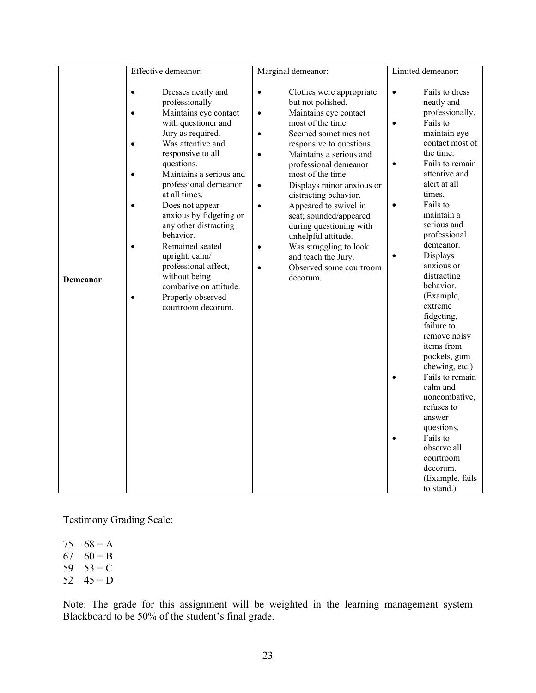|          | Effective demeanor:                                                                                                                                                                                                                                                                                                                                                                                                                                                                                      | Marginal demeanor:                                                                                                                                                                                                                                                                                                                                                                                                                                                                                                                                                                  | Limited demeanor:                                                                                                                                                                                                                                                                                                                                                                                                                                                                                                                                                                                                                                                                               |
|----------|----------------------------------------------------------------------------------------------------------------------------------------------------------------------------------------------------------------------------------------------------------------------------------------------------------------------------------------------------------------------------------------------------------------------------------------------------------------------------------------------------------|-------------------------------------------------------------------------------------------------------------------------------------------------------------------------------------------------------------------------------------------------------------------------------------------------------------------------------------------------------------------------------------------------------------------------------------------------------------------------------------------------------------------------------------------------------------------------------------|-------------------------------------------------------------------------------------------------------------------------------------------------------------------------------------------------------------------------------------------------------------------------------------------------------------------------------------------------------------------------------------------------------------------------------------------------------------------------------------------------------------------------------------------------------------------------------------------------------------------------------------------------------------------------------------------------|
| Demeanor | Dresses neatly and<br>$\bullet$<br>professionally.<br>Maintains eye contact<br>$\bullet$<br>with questioner and<br>Jury as required.<br>Was attentive and<br>responsive to all<br>questions.<br>Maintains a serious and<br>professional demeanor<br>at all times.<br>Does not appear<br>anxious by fidgeting or<br>any other distracting<br>behavior.<br>Remained seated<br>upright, calm/<br>professional affect,<br>without being<br>combative on attitude.<br>Properly observed<br>courtroom decorum. | Clothes were appropriate<br>$\bullet$<br>but not polished.<br>Maintains eye contact<br>$\bullet$<br>most of the time.<br>Seemed sometimes not<br>$\bullet$<br>responsive to questions.<br>Maintains a serious and<br>$\bullet$<br>professional demeanor<br>most of the time.<br>Displays minor anxious or<br>$\bullet$<br>distracting behavior.<br>Appeared to swivel in<br>$\bullet$<br>seat; sounded/appeared<br>during questioning with<br>unhelpful attitude.<br>Was struggling to look<br>$\bullet$<br>and teach the Jury.<br>Observed some courtroom<br>$\bullet$<br>decorum. | Fails to dress<br>$\bullet$<br>neatly and<br>professionally.<br>Fails to<br>$\bullet$<br>maintain eye<br>contact most of<br>the time.<br>Fails to remain<br>$\bullet$<br>attentive and<br>alert at all<br>times.<br>Fails to<br>$\bullet$<br>maintain a<br>serious and<br>professional<br>demeanor.<br>Displays<br>$\bullet$<br>anxious or<br>distracting<br>behavior.<br>(Example,<br>extreme<br>fidgeting,<br>failure to<br>remove noisy<br>items from<br>pockets, gum<br>chewing, etc.)<br>Fails to remain<br>$\bullet$<br>calm and<br>noncombative,<br>refuses to<br>answer<br>questions.<br>Fails to<br>$\bullet$<br>observe all<br>courtroom<br>decorum.<br>(Example, fails<br>to stand.) |

Testimony Grading Scale:

 $75 - 68 = A$  $67 - 60 = B$  $59 - 53 = C$  $52 - 45 = D$ 

Note: The grade for this assignment will be weighted in the learning management system Blackboard to be 50% of the student's final grade.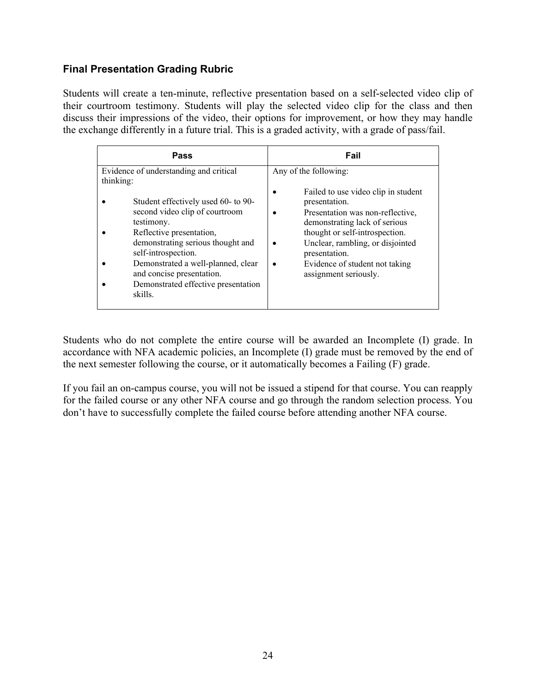#### **Final Presentation Grading Rubric**

Students will create a ten-minute, reflective presentation based on a self-selected video clip of their courtroom testimony. Students will play the selected video clip for the class and then discuss their impressions of the video, their options for improvement, or how they may handle the exchange differently in a future trial. This is a graded activity, with a grade of pass/fail.

| Pass                                                                                                                                                                                                                                                                                                                                                    | Fail                                                                                                                                                                                                                                                                                                 |  |
|---------------------------------------------------------------------------------------------------------------------------------------------------------------------------------------------------------------------------------------------------------------------------------------------------------------------------------------------------------|------------------------------------------------------------------------------------------------------------------------------------------------------------------------------------------------------------------------------------------------------------------------------------------------------|--|
| Evidence of understanding and critical<br>thinking:<br>Student effectively used 60- to 90-<br>second video clip of courtroom<br>testimony.<br>Reflective presentation,<br>demonstrating serious thought and<br>self-introspection.<br>Demonstrated a well-planned, clear<br>and concise presentation.<br>Demonstrated effective presentation<br>skills. | Any of the following:<br>Failed to use video clip in student<br>presentation.<br>Presentation was non-reflective,<br>demonstrating lack of serious<br>thought or self-introspection.<br>Unclear, rambling, or disjointed<br>presentation.<br>Evidence of student not taking<br>assignment seriously. |  |

Students who do not complete the entire course will be awarded an Incomplete (I) grade. In accordance with NFA academic policies, an Incomplete (I) grade must be removed by the end of the next semester following the course, or it automatically becomes a Failing (F) grade.

If you fail an on-campus course, you will not be issued a stipend for that course. You can reapply for the failed course or any other NFA course and go through the random selection process. You don't have to successfully complete the failed course before attending another NFA course.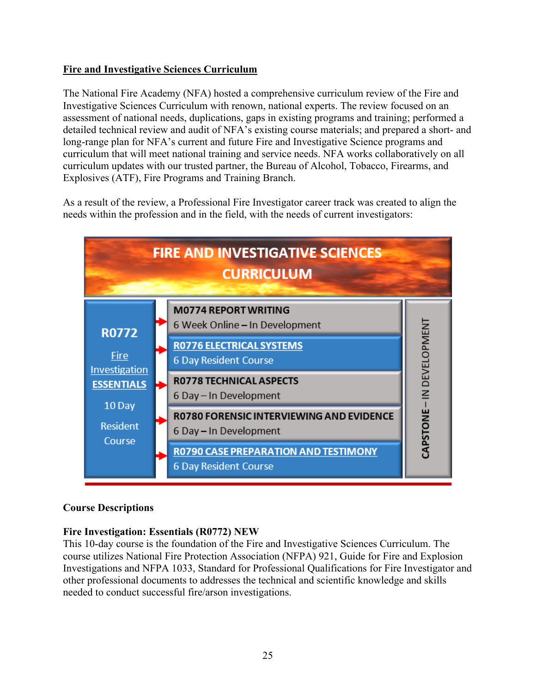## **Fire and Investigative Sciences Curriculum**

The National Fire Academy (NFA) hosted a comprehensive curriculum review of the Fire and Investigative Sciences Curriculum with renown, national experts. The review focused on an assessment of national needs, duplications, gaps in existing programs and training; performed a detailed technical review and audit of NFA's existing course materials; and prepared a short- and long-range plan for NFA's current and future Fire and Investigative Science programs and curriculum that will meet national training and service needs. NFA works collaboratively on all curriculum updates with our trusted partner, the Bureau of Alcohol, Tobacco, Firearms, and Explosives (ATF), Fire Programs and Training Branch.

As a result of the review, a Professional Fire Investigator career track was created to align the needs within the profession and in the field, with the needs of current investigators:



#### **Course Descriptions**

#### **Fire Investigation: Essentials (R0772) NEW**

This 10-day course is the foundation of the Fire and Investigative Sciences Curriculum. The course utilizes National Fire Protection Association (NFPA) 921, Guide for Fire and Explosion Investigations and NFPA 1033, Standard for Professional Qualifications for Fire Investigator and other professional documents to addresses the technical and scientific knowledge and skills needed to conduct successful fire/arson investigations.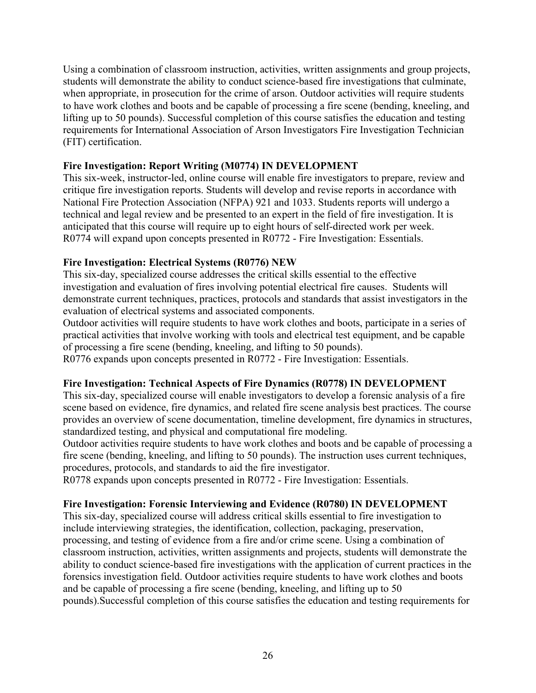Using a combination of classroom instruction, activities, written assignments and group projects, students will demonstrate the ability to conduct science-based fire investigations that culminate, when appropriate, in prosecution for the crime of arson. Outdoor activities will require students to have work clothes and boots and be capable of processing a fire scene (bending, kneeling, and lifting up to 50 pounds). Successful completion of this course satisfies the education and testing requirements for International Association of Arson Investigators Fire Investigation Technician (FIT) certification.

#### **Fire Investigation: Report Writing (M0774) IN DEVELOPMENT**

This six-week, instructor-led, online course will enable fire investigators to prepare, review and critique fire investigation reports. Students will develop and revise reports in accordance with National Fire Protection Association (NFPA) 921 and 1033. Students reports will undergo a technical and legal review and be presented to an expert in the field of fire investigation. It is anticipated that this course will require up to eight hours of self-directed work per week. R0774 will expand upon concepts presented in R0772 - Fire Investigation: Essentials.

#### **Fire Investigation: Electrical Systems (R0776) NEW**

This six-day, specialized course addresses the critical skills essential to the effective investigation and evaluation of fires involving potential electrical fire causes. Students will demonstrate current techniques, practices, protocols and standards that assist investigators in the evaluation of electrical systems and associated components.

Outdoor activities will require students to have work clothes and boots, participate in a series of practical activities that involve working with tools and electrical test equipment, and be capable of processing a fire scene (bending, kneeling, and lifting to 50 pounds).

R0776 expands upon concepts presented in R0772 - Fire Investigation: Essentials.

## **Fire Investigation: Technical Aspects of Fire Dynamics (R0778) IN DEVELOPMENT**

This six-day, specialized course will enable investigators to develop a forensic analysis of a fire scene based on evidence, fire dynamics, and related fire scene analysis best practices. The course provides an overview of scene documentation, timeline development, fire dynamics in structures, standardized testing, and physical and computational fire modeling.

Outdoor activities require students to have work clothes and boots and be capable of processing a fire scene (bending, kneeling, and lifting to 50 pounds). The instruction uses current techniques, procedures, protocols, and standards to aid the fire investigator.

R0778 expands upon concepts presented in R0772 - Fire Investigation: Essentials.

## **Fire Investigation: Forensic Interviewing and Evidence (R0780) IN DEVELOPMENT**

This six-day, specialized course will address critical skills essential to fire investigation to include interviewing strategies, the identification, collection, packaging, preservation, processing, and testing of evidence from a fire and/or crime scene. Using a combination of classroom instruction, activities, written assignments and projects, students will demonstrate the ability to conduct science-based fire investigations with the application of current practices in the forensics investigation field. Outdoor activities require students to have work clothes and boots and be capable of processing a fire scene (bending, kneeling, and lifting up to 50 pounds).Successful completion of this course satisfies the education and testing requirements for